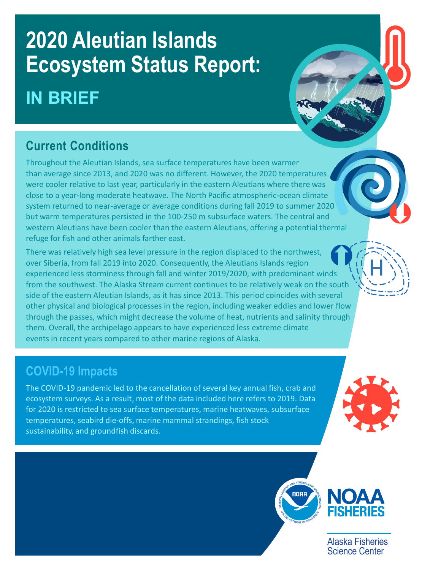# **2020 Aleutian Islands Ecosystem Status Report: IN BRIEF**

# **Current Conditions**

Throughout the Aleutian Islands, sea surface temperatures have been warmer than average since 2013, and 2020 was no different. However, the 2020 temperatures were cooler relative to last year, particularly in the eastern Aleutians where there was close to a year-long moderate heatwave. The North Pacific atmospheric-ocean climate system returned to near-average or average conditions during fall 2019 to summer 2020 but warm temperatures persisted in the 100-250 m subsurface waters. The central and western Aleutians have been cooler than the eastern Aleutians, offering a potential thermal refuge for fish and other animals farther east.

There was relatively high sea level pressure in the region displaced to the northwest, over Siberia, from fall 2019 into 2020. Consequently, the Aleutians Islands region experienced less storminess through fall and winter 2019/2020, with predominant winds from the southwest. The Alaska Stream current continues to be relatively weak on the south side of the eastern Aleutian Islands, as it has since 2013. This period coincides with several other physical and biological processes in the region, including weaker eddies and lower flow through the passes, which might decrease the volume of heat, nutrients and salinity through them. Overall, the archipelago appears to have experienced less extreme climate events in recent years compared to other marine regions of Alaska.

# **COVID-19 Impacts**

The COVID-19 pandemic led to the cancellation of several key annual fish, crab and ecosystem surveys. As a result, most of the data included here refers to 2019. Data for 2020 is restricted to sea surface temperatures, marine heatwaves, subsurface temperatures, seabird die-offs, marine mammal strandings, fish stock sustainability, and groundfish discards.





Alaska Fisheries Science Center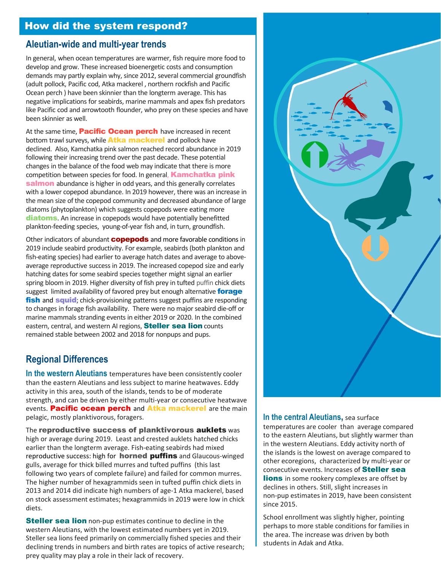# How did the system respond?

#### **Aleutian-wide and multi-year trends**

In general, when ocean temperatures are warmer, fish require more food to develop and grow. These increased bioenergetic costs and consumption demands may partly explain why, since 2012, several commercial groundfish (adult pollock, Pacific cod, Atka mackerel , northern rockfish and Pacific Ocean perch ) have been skinnier than the longterm average. This has negative implications for seabirds, marine mammals and apex fish predators like Pacific cod and arrowtooth flounder, who prey on these species and have been skinnier as well.

At the same time, **Pacific Ocean perch** have increased in recent bottom trawl surveys, while **Atka mackerel** and pollock have declined. Also, Kamchatka pink salmon reached record abundance in 2019 following their increasing trend over the past decade. These potential changes in the balance of the food web may indicate that there is more competition between species for food. In general, **Kamchatka pink** salmon abundance is higher in odd years, and this generally correlates with a lower copepod abundance. In 2019 however, there was an increase in the mean size of the copepod community and decreased abundance of large diatoms (phytoplankton) which suggests copepods were eating more diatoms. An increase in copepods would have potentially benefitted plankton-feeding species, young-of-year fish and, in turn, groundfish.

Other indicators of abundant **copepods** and more favorable conditions in 2019 include seabird productivity. For example, seabirds (both plankton and fish-eating species) had earlier to average hatch dates and average to aboveaverage reproductive success in 2019. The increased copepod size and early hatching dates for some seabird species together might signal an earlier spring bloom in 2019. Higher diversity of fish prey in tufted puffin chick diets suggest limited availability of favored prey but enough alternative forage fish and squid; chick-provisioning patterns suggest puffins are responding to changes in forage fish availability. There were no major seabird die-off or marine mammals stranding events in either 2019 or 2020. In the combined eastern, central, and western AI regions, **Steller sea lion** counts remained stable between 2002 and 2018 for nonpups and pups.

# **Regional Differences**

**In the western Aleutians** temperatures have been consistently cooler than the eastern Aleutians and less subject to marine heatwaves. Eddy activity in this area, south of the islands, tends to be of moderate strength, and can be driven by either multi-year or consecutive heatwave events. Pacific ocean perch and Atka mackerel are the main pelagic, mostly planktivorous, foragers.

The reproductive success of planktivorous auklets was high or average during 2019. Least and crested auklets hatched chicks earlier than the longterm average. Fish-eating seabirds had mixed reproductive success: high for **horned puffins** and Glaucous-winged gulls, average for thick billed murres and tufted puffins (this last following two years of complete failure) and failed for common murres. The higher number of hexagrammids seen in tufted puffin chick diets in 2013 and 2014 did indicate high numbers of age-1 Atka mackerel, based on stock assessment estimates; hexagrammids in 2019 were low in chick diets.

**Steller sea lion** non-pup estimates continue to decline in the western Aleutians, with the lowest estimated numbers yet in 2019. Steller sea lions feed primarily on commercially fished species and their declining trends in numbers and birth rates are topics of active research; prey quality may play a role in their lack of recovery.



**In the central Aleutians,** sea surface temperatures are cooler than average compared to the eastern Aleutians, but slightly warmer than in the western Aleutians. Eddy activity north of the islands is the lowest on average compared to other ecoregions, characterized by multi-year or consecutive events. Increases of Steller sea **lions** in some rookery complexes are offset by declines in others. Still, slight increases in non-pup estimates in 2019, have been consistent since 2015.

School enrollment was slightly higher, pointing perhaps to more stable conditions for families in the area. The increase was driven by both students in Adak and Atka.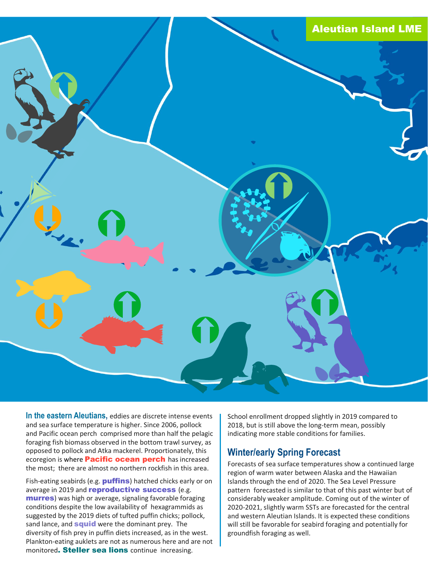

**In the eastern Aleutians,** eddies are discrete intense events and sea surface temperature is higher. Since 2006, pollock and Pacific ocean perch comprised more than half the pelagic foraging fish biomass observed in the bottom trawl survey, as opposed to pollock and Atka mackerel. Proportionately, this ecoregion is where **Pacific ocean perch** has increased the most; there are almost no northern rockfish in this area.

Fish-eating seabirds (e.g. **puffins**) hatched chicks early or on average in 2019 and **reproductive success** (e.g. **murres**) was high or average, signaling favorable foraging conditions despite the low availability of hexagrammids as suggested by the 2019 diets of tufted puffin chicks; pollock, sand lance, and **squid** were the dominant prey. The diversity of fish prey in puffin diets increased, as in the west. Plankton-eating auklets are not as numerous here and are not monitored. Steller sea lions continue increasing.

School enrollment dropped slightly in 2019 compared to 2018, but is still above the long-term mean, possibly indicating more stable conditions for families.

### **Winter/early Spring Forecast**

Forecasts of sea surface temperatures show a continued large region of warm water between Alaska and the Hawaiian Islands through the end of 2020. The Sea Level Pressure pattern forecasted is similar to that of this past winter but of considerably weaker amplitude. Coming out of the winter of 2020-2021, slightly warm SSTs are forecasted for the central and western Aleutian Islands. It is expected these conditions will still be favorable for seabird foraging and potentially for groundfish foraging as well.